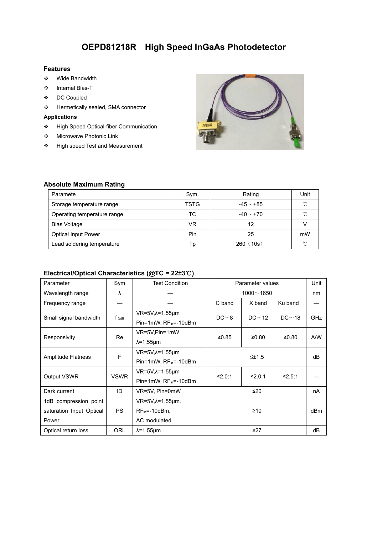# **OEPD81218R High Speed InGaAs Photodetector**

### **Features**

- Wide Bandwidth
- Internal Bias-T
- DC Coupled
- Hermetically sealed, SMA connector

### **Applications**

- High Speed Optical-fiber Communication
- Microwave Photonic Link
- High speed Test and Measurement



#### **Absolute Maximum Rating**

| Paramete                    | Sym. | Rating      | Unit   |
|-----------------------------|------|-------------|--------|
| Storage temperature range   | TSTG | $-45 - +85$ | $\sim$ |
| Operating temperature range | TC   | $-40 - +70$ | $\sim$ |
| <b>Bias Voltage</b>         | VR   | 12          |        |
| <b>Optical Input Power</b>  | Pin  | 25          | mW     |
| Lead soldering temperature  | Tp   | 260(10s)    | $\sim$ |

# **Electrical/Optical Characteristics (@TC = 22±3**℃**)**

| Parameter                | Sym         | <b>Test Condition</b>             | Parameter values |               | Unit            |            |
|--------------------------|-------------|-----------------------------------|------------------|---------------|-----------------|------------|
| Wavelength range         | λ           |                                   |                  | $1000 - 1650$ |                 | nm         |
| Frequency range          |             |                                   | C band           | X band        | Ku band         | —          |
|                          | $f_{-3dB}$  | $VR=5V, \lambda=1.55 \mu m$       | DC~3             | DC~12         | DC~18           | <b>GHz</b> |
| Small signal bandwidth   |             | Pin=1mW, RF <sub>in</sub> =-10dBm |                  |               |                 |            |
| Responsivity             | Re          | VR=5V,Pin=1mW                     | ≥0.85            | ≥0.80         | ≥0.80           | A/W        |
|                          |             | $\lambda = 1.55 \mu m$            |                  |               |                 |            |
|                          | F           | VR=5V,λ=1.55μm                    | $\leq \pm 1.5$   |               |                 | dB         |
| Amplitude Flatness       |             | Pin=1mW, RF <sub>in</sub> =-10dBm |                  |               |                 |            |
| Output VSWR              | <b>VSWR</b> | $VR=5V, \lambda=1.55 \mu m$       | ≤2.0:1           | ≤2.0:1        | ≤2.5:1          |            |
|                          |             | Pin=1mW, RF <sub>in</sub> =-10dBm |                  |               |                 |            |
| Dark current             | ID          | VR=5V, Pin=0mW                    | ≤20              |               | nA              |            |
| 1dB compression point    |             | $VR=5V, \lambda=1.55 \mu m$ ,     |                  |               |                 |            |
| saturation Input Optical | <b>PS</b>   | $RF_{in} = -10dBm$ ,              | $\geq 10$        |               | dB <sub>m</sub> |            |
| Power                    |             | AC modulated                      |                  |               |                 |            |
| Optical return loss      | ORL         | $\lambda$ =1.55 $\mu$ m           |                  | $\geq$ 27     |                 | dB         |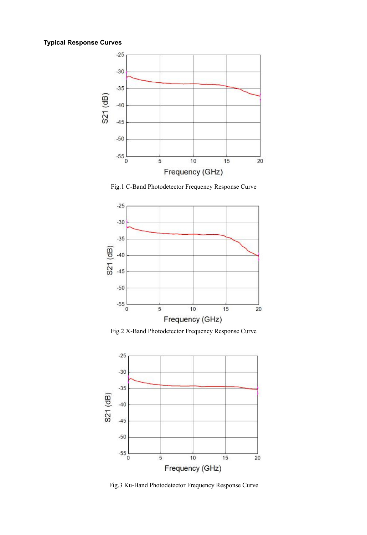# **Typical Response Curves**



Fig.1 C-Band Photodetector Frequency Response Curve



Fig.2 X-Band Photodetector Frequency Response Curve



Fig.3 Ku-Band Photodetector Frequency Response Curve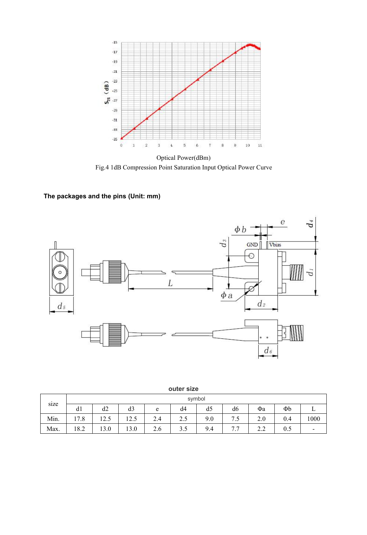

Fig.4 1dB Compression Point Saturation Input Optical Power Curve

# **The packages and the pins (Unit: mm)**



|      | symbol |                           |                |                                     |               |                |                                     |     |     |      |
|------|--------|---------------------------|----------------|-------------------------------------|---------------|----------------|-------------------------------------|-----|-----|------|
| size | d1     | d2                        | d3             | e                                   | d4            | d <sub>5</sub> | d <sub>6</sub>                      | Фa  | Φb  | ∸    |
| Min. | 17.8   | 1つ く<br>$1 \angle . \cup$ | 1つ く<br>ن که ۱ | $\sim$<br>$\mathcal{L}.\mathcal{4}$ | ◠<br>ن کے     | 9.0            | $\overline{ }$<br>7.5               | 2.0 | 0.4 | 1000 |
| Max. | 18.2   | 13.0                      | 13.0           | $\sim$<br>2.6                       | $\sim$<br>3.J | 9.4            | $\overline{a}$<br>$\cdot$ . $\cdot$ | 2.2 | 0.5 | $\,$ |